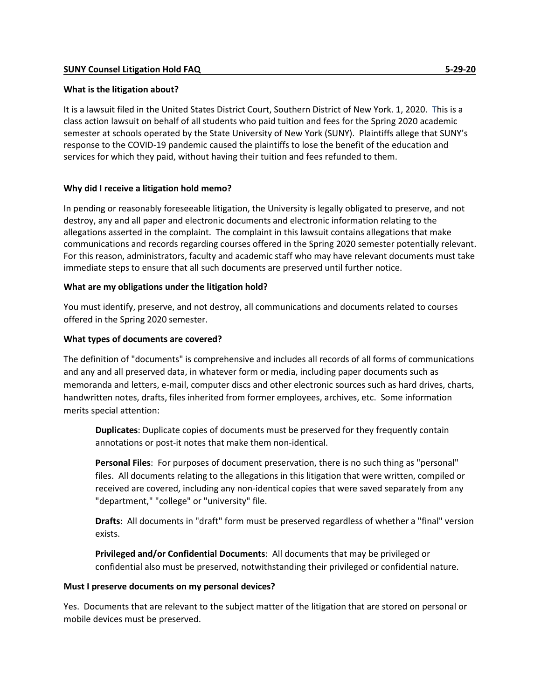# **What is the litigation about?**

It is a lawsuit filed in the United States District Court, Southern District of New York. 1, 2020. This is a class action lawsuit on behalf of all students who paid tuition and fees for the Spring 2020 academic semester at schools operated by the State University of New York (SUNY). Plaintiffs allege that SUNY's response to the COVID-19 pandemic caused the plaintiffs to lose the benefit of the education and services for which they paid, without having their tuition and fees refunded to them.

# **Why did I receive a litigation hold memo?**

In pending or reasonably foreseeable litigation, the University is legally obligated to preserve, and not destroy, any and all paper and electronic documents and electronic information relating to the allegations asserted in the complaint. The complaint in this lawsuit contains allegations that make communications and records regarding courses offered in the Spring 2020 semester potentially relevant. For this reason, administrators, faculty and academic staff who may have relevant documents must take immediate steps to ensure that all such documents are preserved until further notice.

# **What are my obligations under the litigation hold?**

You must identify, preserve, and not destroy, all communications and documents related to courses offered in the Spring 2020 semester.

# **What types of documents are covered?**

The definition of "documents" is comprehensive and includes all records of all forms of communications and any and all preserved data, in whatever form or media, including paper documents such as memoranda and letters, e-mail, computer discs and other electronic sources such as hard drives, charts, handwritten notes, drafts, files inherited from former employees, archives, etc. Some information merits special attention:

**Duplicates**: Duplicate copies of documents must be preserved for they frequently contain annotations or post-it notes that make them non-identical.

**Personal Files**: For purposes of document preservation, there is no such thing as "personal" files. All documents relating to the allegations in this litigation that were written, compiled or received are covered, including any non-identical copies that were saved separately from any "department," "college" or "university" file.

**Drafts**: All documents in "draft" form must be preserved regardless of whether a "final" version exists.

**Privileged and/or Confidential Documents**: All documents that may be privileged or confidential also must be preserved, notwithstanding their privileged or confidential nature.

### **Must I preserve documents on my personal devices?**

Yes. Documents that are relevant to the subject matter of the litigation that are stored on personal or mobile devices must be preserved.